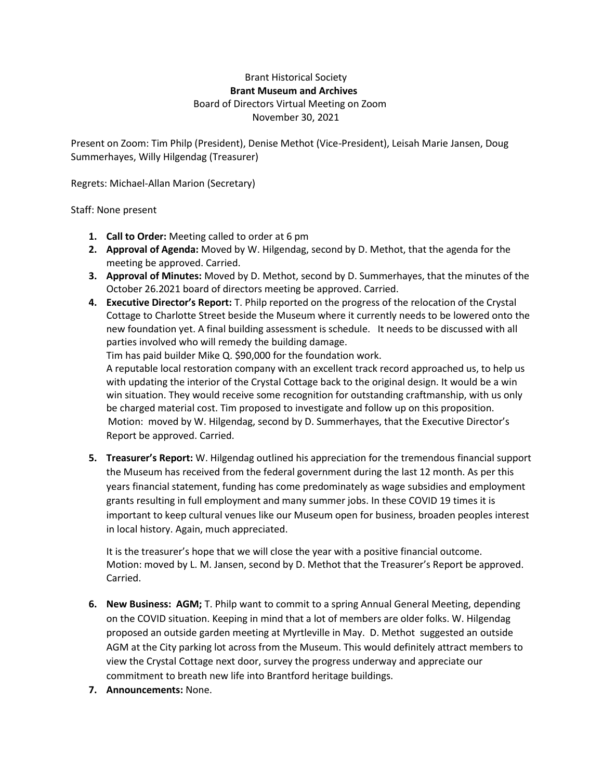## Brant Historical Society  **Brant Museum and Archives** Board of Directors Virtual Meeting on Zoom November 30, 2021

Present on Zoom: Tim Philp (President), Denise Methot (Vice-President), Leisah Marie Jansen, Doug Summerhayes, Willy Hilgendag (Treasurer)

Regrets: Michael-Allan Marion (Secretary)

Staff: None present

- **1. Call to Order:** Meeting called to order at 6 pm
- **2. Approval of Agenda:** Moved by W. Hilgendag, second by D. Methot, that the agenda for the meeting be approved. Carried.
- **3. Approval of Minutes:** Moved by D. Methot, second by D. Summerhayes, that the minutes of the October 26.2021 board of directors meeting be approved. Carried.
- **4. Executive Director's Report:** T. Philp reported on the progress of the relocation of the Crystal Cottage to Charlotte Street beside the Museum where it currently needs to be lowered onto the new foundation yet. A final building assessment is schedule. It needs to be discussed with all parties involved who will remedy the building damage.

Tim has paid builder Mike Q. \$90,000 for the foundation work.

A reputable local restoration company with an excellent track record approached us, to help us with updating the interior of the Crystal Cottage back to the original design. It would be a win win situation. They would receive some recognition for outstanding craftmanship, with us only be charged material cost. Tim proposed to investigate and follow up on this proposition. Motion: moved by W. Hilgendag, second by D. Summerhayes, that the Executive Director's Report be approved. Carried.

**5. Treasurer's Report:** W. Hilgendag outlined his appreciation for the tremendous financial support the Museum has received from the federal government during the last 12 month. As per this years financial statement, funding has come predominately as wage subsidies and employment grants resulting in full employment and many summer jobs. In these COVID 19 times it is important to keep cultural venues like our Museum open for business, broaden peoples interest in local history. Again, much appreciated.

It is the treasurer's hope that we will close the year with a positive financial outcome. Motion: moved by L. M. Jansen, second by D. Methot that the Treasurer's Report be approved. Carried.

- **6. New Business: AGM;** T. Philp want to commit to a spring Annual General Meeting, depending on the COVID situation. Keeping in mind that a lot of members are older folks. W. Hilgendag proposed an outside garden meeting at Myrtleville in May. D. Methot suggested an outside AGM at the City parking lot across from the Museum. This would definitely attract members to view the Crystal Cottage next door, survey the progress underway and appreciate our commitment to breath new life into Brantford heritage buildings.
- **7. Announcements:** None.